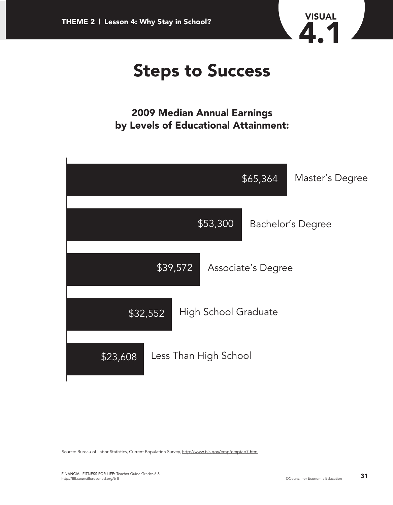

## **Steps to Success**

**2009 Median Annual Earnings by Levels of Educational Attainment:**



Source: Bureau of Labor Statistics, Current Population Survey, http://www.bls.gov/emp/emptab7.htm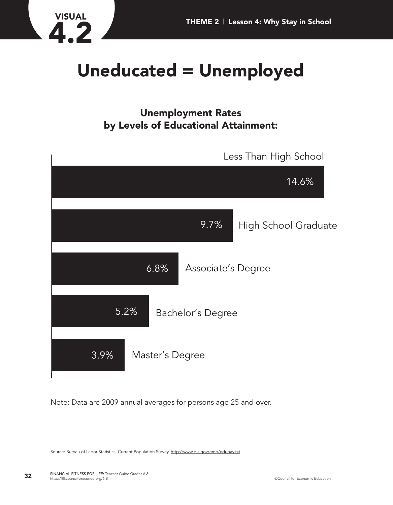

## **Uneducated = Unemployed**

**Unemployment Rates by Levels of Educational Attainment:**



Note: Data are 2009 annual averages for persons age 25 and over.

Source: Bureau of Labor Statistics, Current Population Survey, http://www.bls.gov/emp/edupay.txt